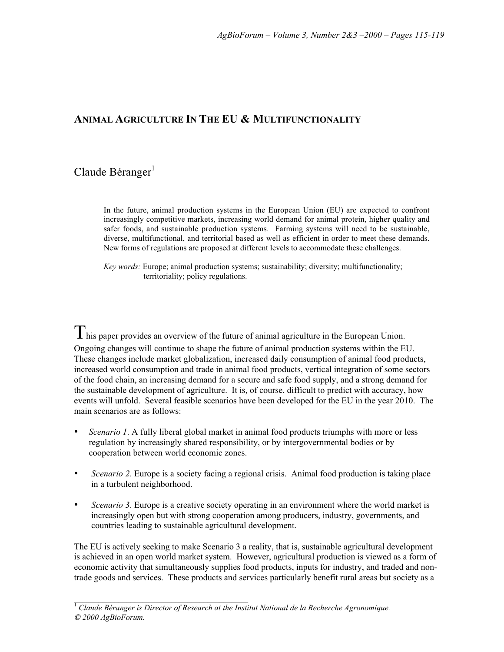## **ANIMAL AGRICULTURE IN THE EU & MULTIFUNCTIONALITY**

# $Claude Béranger<sup>1</sup>$

In the future, animal production systems in the European Union (EU) are expected to confront increasingly competitive markets, increasing world demand for animal protein, higher quality and safer foods, and sustainable production systems. Farming systems will need to be sustainable, diverse, multifunctional, and territorial based as well as efficient in order to meet these demands. New forms of regulations are proposed at different levels to accommodate these challenges.

*Key words:* Europe; animal production systems; sustainability; diversity; multifunctionality; territoriality; policy regulations.

This paper provides an overview of the future of animal agriculture in the European Union. Ongoing changes will continue to shape the future of animal production systems within the EU. These changes include market globalization, increased daily consumption of animal food products, increased world consumption and trade in animal food products, vertical integration of some sectors of the food chain, an increasing demand for a secure and safe food supply, and a strong demand for the sustainable development of agriculture. It is, of course, difficult to predict with accuracy, how events will unfold. Several feasible scenarios have been developed for the EU in the year 2010. The main scenarios are as follows:

- *Scenario 1*. A fully liberal global market in animal food products triumphs with more or less regulation by increasingly shared responsibility, or by intergovernmental bodies or by cooperation between world economic zones.
- *Scenario 2*. Europe is a society facing a regional crisis. Animal food production is taking place in a turbulent neighborhood.
- *Scenario 3*. Europe is a creative society operating in an environment where the world market is increasingly open but with strong cooperation among producers, industry, governments, and countries leading to sustainable agricultural development.

The EU is actively seeking to make Scenario 3 a reality, that is, sustainable agricultural development is achieved in an open world market system. However, agricultural production is viewed as a form of economic activity that simultaneously supplies food products, inputs for industry, and traded and nontrade goods and services. These products and services particularly benefit rural areas but society as a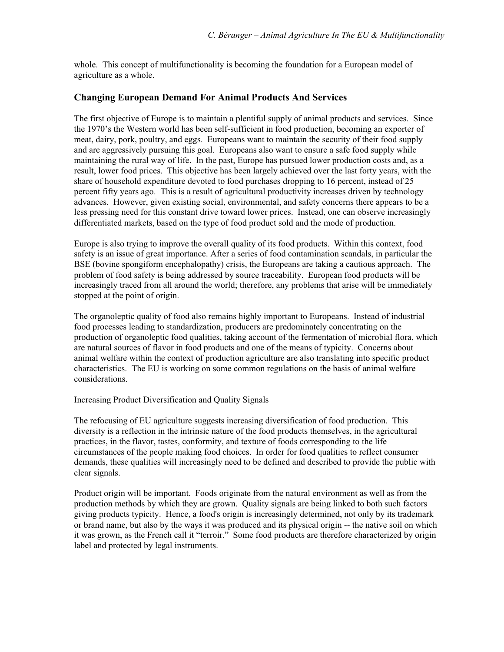whole. This concept of multifunctionality is becoming the foundation for a European model of agriculture as a whole.

## **Changing European Demand For Animal Products And Services**

The first objective of Europe is to maintain a plentiful supply of animal products and services. Since the 1970's the Western world has been self-sufficient in food production, becoming an exporter of meat, dairy, pork, poultry, and eggs. Europeans want to maintain the security of their food supply and are aggressively pursuing this goal. Europeans also want to ensure a safe food supply while maintaining the rural way of life. In the past, Europe has pursued lower production costs and, as a result, lower food prices. This objective has been largely achieved over the last forty years, with the share of household expenditure devoted to food purchases dropping to 16 percent, instead of 25 percent fifty years ago. This is a result of agricultural productivity increases driven by technology advances. However, given existing social, environmental, and safety concerns there appears to be a less pressing need for this constant drive toward lower prices. Instead, one can observe increasingly differentiated markets, based on the type of food product sold and the mode of production.

Europe is also trying to improve the overall quality of its food products. Within this context, food safety is an issue of great importance. After a series of food contamination scandals, in particular the BSE (bovine spongiform encephalopathy) crisis, the Europeans are taking a cautious approach. The problem of food safety is being addressed by source traceability. European food products will be increasingly traced from all around the world; therefore, any problems that arise will be immediately stopped at the point of origin.

The organoleptic quality of food also remains highly important to Europeans. Instead of industrial food processes leading to standardization, producers are predominately concentrating on the production of organoleptic food qualities, taking account of the fermentation of microbial flora, which are natural sources of flavor in food products and one of the means of typicity. Concerns about animal welfare within the context of production agriculture are also translating into specific product characteristics. The EU is working on some common regulations on the basis of animal welfare considerations.

#### Increasing Product Diversification and Quality Signals

The refocusing of EU agriculture suggests increasing diversification of food production. This diversity is a reflection in the intrinsic nature of the food products themselves, in the agricultural practices, in the flavor, tastes, conformity, and texture of foods corresponding to the life circumstances of the people making food choices. In order for food qualities to reflect consumer demands, these qualities will increasingly need to be defined and described to provide the public with clear signals.

Product origin will be important. Foods originate from the natural environment as well as from the production methods by which they are grown. Quality signals are being linked to both such factors giving products typicity. Hence, a food's origin is increasingly determined, not only by its trademark or brand name, but also by the ways it was produced and its physical origin -- the native soil on which it was grown, as the French call it "terroir." Some food products are therefore characterized by origin label and protected by legal instruments.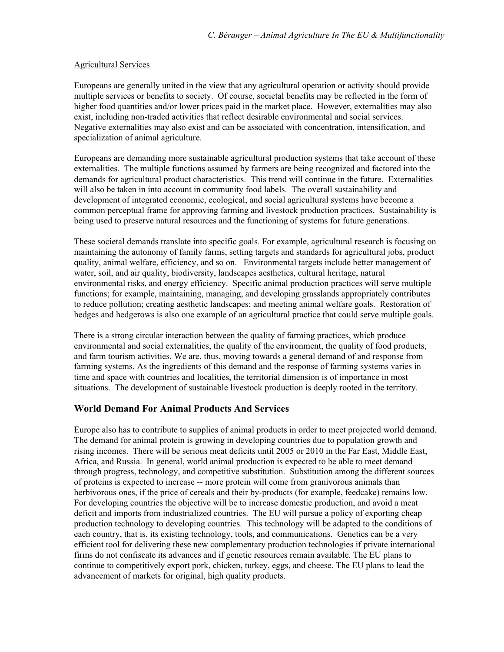#### Agricultural Services

Europeans are generally united in the view that any agricultural operation or activity should provide multiple services or benefits to society. Of course, societal benefits may be reflected in the form of higher food quantities and/or lower prices paid in the market place. However, externalities may also exist, including non-traded activities that reflect desirable environmental and social services. Negative externalities may also exist and can be associated with concentration, intensification, and specialization of animal agriculture.

Europeans are demanding more sustainable agricultural production systems that take account of these externalities. The multiple functions assumed by farmers are being recognized and factored into the demands for agricultural product characteristics. This trend will continue in the future. Externalities will also be taken in into account in community food labels. The overall sustainability and development of integrated economic, ecological, and social agricultural systems have become a common perceptual frame for approving farming and livestock production practices. Sustainability is being used to preserve natural resources and the functioning of systems for future generations.

These societal demands translate into specific goals. For example, agricultural research is focusing on maintaining the autonomy of family farms, setting targets and standards for agricultural jobs, product quality, animal welfare, efficiency, and so on. Environmental targets include better management of water, soil, and air quality, biodiversity, landscapes aesthetics, cultural heritage, natural environmental risks, and energy efficiency. Specific animal production practices will serve multiple functions; for example, maintaining, managing, and developing grasslands appropriately contributes to reduce pollution; creating aesthetic landscapes; and meeting animal welfare goals. Restoration of hedges and hedgerows is also one example of an agricultural practice that could serve multiple goals.

There is a strong circular interaction between the quality of farming practices, which produce environmental and social externalities, the quality of the environment, the quality of food products, and farm tourism activities. We are, thus, moving towards a general demand of and response from farming systems. As the ingredients of this demand and the response of farming systems varies in time and space with countries and localities, the territorial dimension is of importance in most situations. The development of sustainable livestock production is deeply rooted in the territory.

### **World Demand For Animal Products And Services**

Europe also has to contribute to supplies of animal products in order to meet projected world demand. The demand for animal protein is growing in developing countries due to population growth and rising incomes. There will be serious meat deficits until 2005 or 2010 in the Far East, Middle East, Africa, and Russia. In general, world animal production is expected to be able to meet demand through progress, technology, and competitive substitution. Substitution among the different sources of proteins is expected to increase -- more protein will come from granivorous animals than herbivorous ones, if the price of cereals and their by-products (for example, feedcake) remains low. For developing countries the objective will be to increase domestic production, and avoid a meat deficit and imports from industrialized countries. The EU will pursue a policy of exporting cheap production technology to developing countries. This technology will be adapted to the conditions of each country, that is, its existing technology, tools, and communications. Genetics can be a very efficient tool for delivering these new complementary production technologies if private international firms do not confiscate its advances and if genetic resources remain available. The EU plans to continue to competitively export pork, chicken, turkey, eggs, and cheese. The EU plans to lead the advancement of markets for original, high quality products.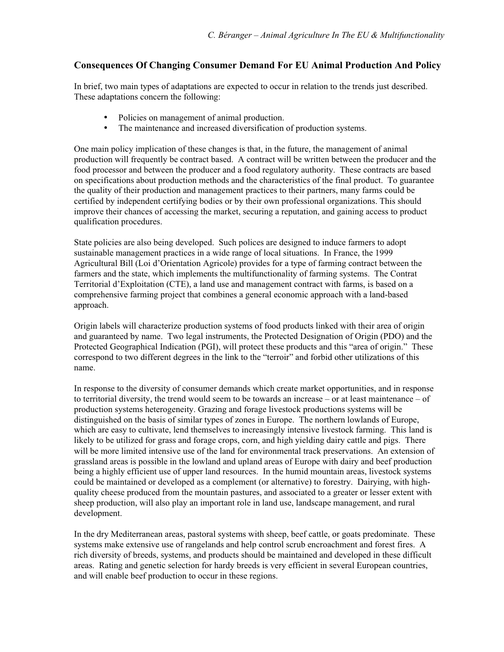## **Consequences Of Changing Consumer Demand For EU Animal Production And Policy**

In brief, two main types of adaptations are expected to occur in relation to the trends just described. These adaptations concern the following:

- Policies on management of animal production.
- The maintenance and increased diversification of production systems.

One main policy implication of these changes is that, in the future, the management of animal production will frequently be contract based. A contract will be written between the producer and the food processor and between the producer and a food regulatory authority. These contracts are based on specifications about production methods and the characteristics of the final product. To guarantee the quality of their production and management practices to their partners, many farms could be certified by independent certifying bodies or by their own professional organizations. This should improve their chances of accessing the market, securing a reputation, and gaining access to product qualification procedures.

State policies are also being developed. Such polices are designed to induce farmers to adopt sustainable management practices in a wide range of local situations. In France, the 1999 Agricultural Bill (Loi d'Orientation Agricole) provides for a type of farming contract between the farmers and the state, which implements the multifunctionality of farming systems. The Contrat Territorial d'Exploitation (CTE), a land use and management contract with farms, is based on a comprehensive farming project that combines a general economic approach with a land-based approach.

Origin labels will characterize production systems of food products linked with their area of origin and guaranteed by name. Two legal instruments, the Protected Designation of Origin (PDO) and the Protected Geographical Indication (PGI), will protect these products and this "area of origin." These correspond to two different degrees in the link to the "terroir" and forbid other utilizations of this name.

In response to the diversity of consumer demands which create market opportunities, and in response to territorial diversity, the trend would seem to be towards an increase – or at least maintenance – of production systems heterogeneity. Grazing and forage livestock productions systems will be distinguished on the basis of similar types of zones in Europe. The northern lowlands of Europe, which are easy to cultivate, lend themselves to increasingly intensive livestock farming. This land is likely to be utilized for grass and forage crops, corn, and high yielding dairy cattle and pigs. There will be more limited intensive use of the land for environmental track preservations. An extension of grassland areas is possible in the lowland and upland areas of Europe with dairy and beef production being a highly efficient use of upper land resources. In the humid mountain areas, livestock systems could be maintained or developed as a complement (or alternative) to forestry. Dairying, with highquality cheese produced from the mountain pastures, and associated to a greater or lesser extent with sheep production, will also play an important role in land use, landscape management, and rural development.

In the dry Mediterranean areas, pastoral systems with sheep, beef cattle, or goats predominate. These systems make extensive use of rangelands and help control scrub encroachment and forest fires. A rich diversity of breeds, systems, and products should be maintained and developed in these difficult areas. Rating and genetic selection for hardy breeds is very efficient in several European countries, and will enable beef production to occur in these regions.